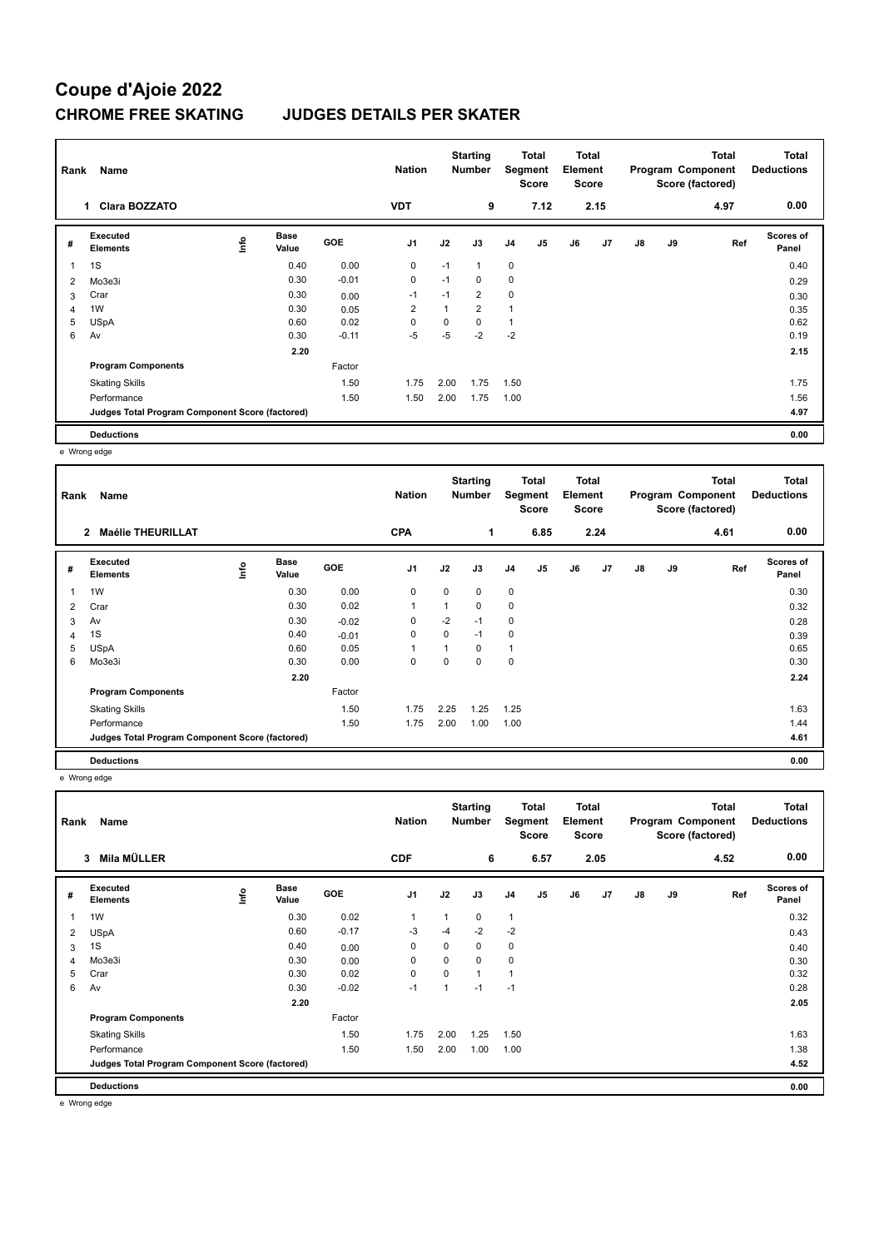## **Coupe d'Ajoie 2022 CHROME FREE SKATING JUDGES DETAILS PER SKATER**

| Rank           | Name                                            |      |                      |            | <b>Nation</b>  |          | <b>Starting</b><br><b>Number</b> | Segment        | Total<br><b>Score</b> | <b>Total</b><br>Element<br>Score |      |    |    | <b>Total</b><br>Program Component<br>Score (factored) | <b>Total</b><br><b>Deductions</b> |
|----------------|-------------------------------------------------|------|----------------------|------------|----------------|----------|----------------------------------|----------------|-----------------------|----------------------------------|------|----|----|-------------------------------------------------------|-----------------------------------|
|                | <b>Clara BOZZATO</b><br>1.                      |      |                      |            | <b>VDT</b>     |          | 9                                |                | 7.12                  |                                  | 2.15 |    |    | 4.97                                                  | 0.00                              |
| #              | Executed<br><b>Elements</b>                     | lnfo | <b>Base</b><br>Value | <b>GOE</b> | J <sub>1</sub> | J2       | J3                               | J <sub>4</sub> | J <sub>5</sub>        | J6                               | J7   | J8 | J9 | Ref                                                   | Scores of<br>Panel                |
|                | 1S                                              |      | 0.40                 | 0.00       | $\mathbf 0$    | $-1$     | 1                                | $\mathbf 0$    |                       |                                  |      |    |    |                                                       | 0.40                              |
| 2              | Mo3e3i                                          |      | 0.30                 | $-0.01$    | $\mathbf 0$    | $-1$     | 0                                | $\mathbf 0$    |                       |                                  |      |    |    |                                                       | 0.29                              |
| 3              | Crar                                            |      | 0.30                 | 0.00       | $-1$           | $-1$     | 2                                | 0              |                       |                                  |      |    |    |                                                       | 0.30                              |
| $\overline{4}$ | 1W                                              |      | 0.30                 | 0.05       | $\overline{2}$ | 1        | $\overline{2}$                   | $\mathbf{1}$   |                       |                                  |      |    |    |                                                       | 0.35                              |
| 5              | <b>USpA</b>                                     |      | 0.60                 | 0.02       | $\Omega$       | $\Omega$ | $\Omega$                         | $\mathbf{1}$   |                       |                                  |      |    |    |                                                       | 0.62                              |
| 6              | Av                                              |      | 0.30                 | $-0.11$    | $-5$           | $-5$     | $-2$                             | $-2$           |                       |                                  |      |    |    |                                                       | 0.19                              |
|                |                                                 |      | 2.20                 |            |                |          |                                  |                |                       |                                  |      |    |    |                                                       | 2.15                              |
|                | <b>Program Components</b>                       |      |                      | Factor     |                |          |                                  |                |                       |                                  |      |    |    |                                                       |                                   |
|                | <b>Skating Skills</b>                           |      |                      | 1.50       | 1.75           | 2.00     | 1.75                             | 1.50           |                       |                                  |      |    |    |                                                       | 1.75                              |
|                | Performance                                     |      |                      | 1.50       | 1.50           | 2.00     | 1.75                             | 1.00           |                       |                                  |      |    |    |                                                       | 1.56                              |
|                | Judges Total Program Component Score (factored) |      |                      |            |                |          |                                  |                |                       |                                  |      |    |    |                                                       | 4.97                              |
|                | <b>Deductions</b>                               |      |                      |            |                |          |                                  |                |                       |                                  |      |    |    |                                                       | 0.00                              |

e Wrong edge

| Rank           | Name                                            |      |                      |            | <b>Nation</b>  |      | <b>Starting</b><br><b>Number</b> | Segment        | <b>Total</b><br><b>Score</b> | <b>Total</b><br>Element<br><b>Score</b> |      |    |    | <b>Total</b><br>Program Component<br>Score (factored) | <b>Total</b><br><b>Deductions</b> |
|----------------|-------------------------------------------------|------|----------------------|------------|----------------|------|----------------------------------|----------------|------------------------------|-----------------------------------------|------|----|----|-------------------------------------------------------|-----------------------------------|
|                | <b>Maélie THEURILLAT</b><br>$\overline{2}$      |      |                      |            | <b>CPA</b>     |      | 1                                |                | 6.85                         |                                         | 2.24 |    |    | 4.61                                                  | 0.00                              |
| #              | Executed<br><b>Elements</b>                     | ١mfo | <b>Base</b><br>Value | <b>GOE</b> | J <sub>1</sub> | J2   | J3                               | J <sub>4</sub> | J5                           | J6                                      | J7   | J8 | J9 | Ref                                                   | Scores of<br>Panel                |
| 1              | 1W                                              |      | 0.30                 | 0.00       | 0              | 0    | $\mathbf 0$                      | $\mathbf 0$    |                              |                                         |      |    |    |                                                       | 0.30                              |
| $\overline{2}$ | Crar                                            |      | 0.30                 | 0.02       | 1              | 1    | $\mathbf 0$                      | 0              |                              |                                         |      |    |    |                                                       | 0.32                              |
| 3              | Av                                              |      | 0.30                 | $-0.02$    | 0              | $-2$ | $-1$                             | 0              |                              |                                         |      |    |    |                                                       | 0.28                              |
| $\overline{4}$ | 1S                                              |      | 0.40                 | $-0.01$    | 0              | 0    | $-1$                             | 0              |                              |                                         |      |    |    |                                                       | 0.39                              |
| 5              | <b>USpA</b>                                     |      | 0.60                 | 0.05       | 1              | 1    | $\mathbf 0$                      | 1              |                              |                                         |      |    |    |                                                       | 0.65                              |
| 6              | Mo3e3i                                          |      | 0.30                 | 0.00       | 0              | 0    | 0                                | 0              |                              |                                         |      |    |    |                                                       | 0.30                              |
|                |                                                 |      | 2.20                 |            |                |      |                                  |                |                              |                                         |      |    |    |                                                       | 2.24                              |
|                | <b>Program Components</b>                       |      |                      | Factor     |                |      |                                  |                |                              |                                         |      |    |    |                                                       |                                   |
|                | <b>Skating Skills</b>                           |      |                      | 1.50       | 1.75           | 2.25 | 1.25                             | 1.25           |                              |                                         |      |    |    |                                                       | 1.63                              |
|                | Performance                                     |      |                      | 1.50       | 1.75           | 2.00 | 1.00                             | 1.00           |                              |                                         |      |    |    |                                                       | 1.44                              |
|                | Judges Total Program Component Score (factored) |      |                      |            |                |      |                                  |                |                              |                                         |      |    |    |                                                       | 4.61                              |
|                | <b>Deductions</b>                               |      |                      |            |                |      |                                  |                |                              |                                         |      |    |    |                                                       | 0.00                              |

e Wrong edge

|   | Name<br>Rank                                    |      |               |            | <b>Nation</b>  |             | <b>Starting</b><br><b>Number</b> |                | <b>Total</b><br>Segment<br><b>Score</b> |    | <b>Total</b><br>Element<br><b>Score</b> |    |    | <b>Total</b><br>Program Component<br>Score (factored) | Total<br><b>Deductions</b> |
|---|-------------------------------------------------|------|---------------|------------|----------------|-------------|----------------------------------|----------------|-----------------------------------------|----|-----------------------------------------|----|----|-------------------------------------------------------|----------------------------|
|   | Mila MÜLLER<br>3                                |      |               |            | <b>CDF</b>     |             | 6                                |                | 6.57                                    |    | 2.05                                    |    |    | 4.52                                                  | 0.00                       |
| # | Executed<br><b>Elements</b>                     | lnfo | Base<br>Value | <b>GOE</b> | J <sub>1</sub> | J2          | J3                               | J <sub>4</sub> | J <sub>5</sub>                          | J6 | J7                                      | J8 | J9 | Ref                                                   | <b>Scores of</b><br>Panel  |
| 1 | 1W                                              |      | 0.30          | 0.02       | 1              |             | 0                                | 1              |                                         |    |                                         |    |    |                                                       | 0.32                       |
| 2 | <b>USpA</b>                                     |      | 0.60          | $-0.17$    | -3             | $-4$        | $-2$                             | $-2$           |                                         |    |                                         |    |    |                                                       | 0.43                       |
| 3 | 1S                                              |      | 0.40          | 0.00       | 0              | 0           | 0                                | 0              |                                         |    |                                         |    |    |                                                       | 0.40                       |
| 4 | Mo3e3i                                          |      | 0.30          | 0.00       | 0              | $\mathbf 0$ | 0                                | $\mathbf 0$    |                                         |    |                                         |    |    |                                                       | 0.30                       |
| 5 | Crar                                            |      | 0.30          | 0.02       | $\pmb{0}$      | $\mathbf 0$ | $\mathbf{1}$                     | 1              |                                         |    |                                         |    |    |                                                       | 0.32                       |
| 6 | Av                                              |      | 0.30          | $-0.02$    | $-1$           |             | $-1$                             | $-1$           |                                         |    |                                         |    |    |                                                       | 0.28                       |
|   |                                                 |      | 2.20          |            |                |             |                                  |                |                                         |    |                                         |    |    |                                                       | 2.05                       |
|   | <b>Program Components</b>                       |      |               | Factor     |                |             |                                  |                |                                         |    |                                         |    |    |                                                       |                            |
|   | <b>Skating Skills</b>                           |      |               | 1.50       | 1.75           | 2.00        | 1.25                             | 1.50           |                                         |    |                                         |    |    |                                                       | 1.63                       |
|   | Performance                                     |      |               | 1.50       | 1.50           | 2.00        | 1.00                             | 1.00           |                                         |    |                                         |    |    |                                                       | 1.38                       |
|   | Judges Total Program Component Score (factored) |      |               |            |                |             |                                  |                |                                         |    |                                         |    |    |                                                       | 4.52                       |
|   | <b>Deductions</b>                               |      |               |            |                |             |                                  |                |                                         |    |                                         |    |    |                                                       | 0.00                       |

e Wrong edge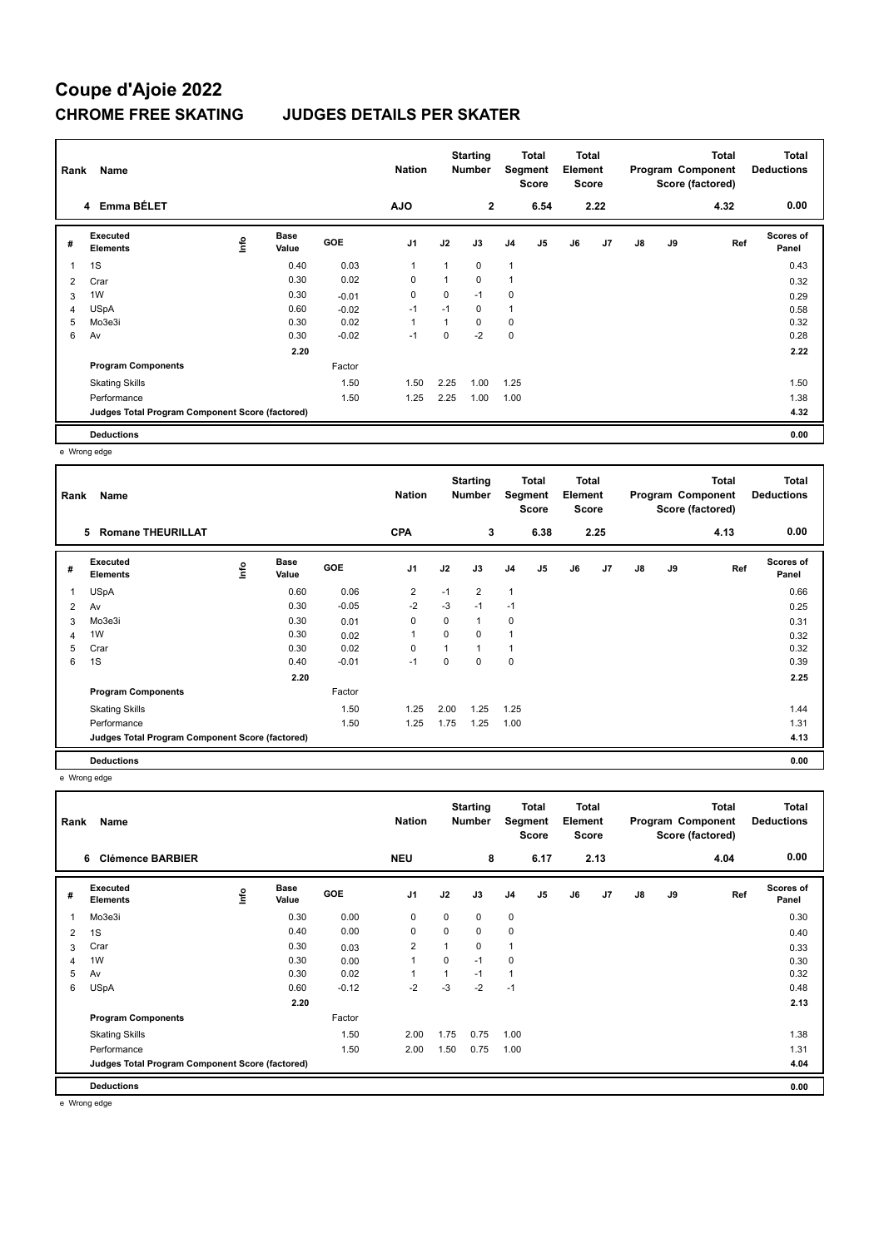## **Coupe d'Ajoie 2022 CHROME FREE SKATING JUDGES DETAILS PER SKATER**

| Rank | Name                                            |    |                      |            | <b>Nation</b>  |          | <b>Starting</b><br><b>Number</b> | Segment        | <b>Total</b><br><b>Score</b> | <b>Total</b><br>Element<br><b>Score</b> |                |               |    | <b>Total</b><br>Program Component<br>Score (factored) | <b>Total</b><br><b>Deductions</b> |
|------|-------------------------------------------------|----|----------------------|------------|----------------|----------|----------------------------------|----------------|------------------------------|-----------------------------------------|----------------|---------------|----|-------------------------------------------------------|-----------------------------------|
|      | 4 Emma BÉLET                                    |    |                      |            | <b>AJO</b>     |          | $\mathbf{2}$                     |                | 6.54                         |                                         | 2.22           |               |    | 4.32                                                  | 0.00                              |
| #    | Executed<br><b>Elements</b>                     | ۴ů | <b>Base</b><br>Value | <b>GOE</b> | J <sub>1</sub> | J2       | J3                               | J <sub>4</sub> | J <sub>5</sub>               | J6                                      | J <sub>7</sub> | $\mathsf{J}8$ | J9 | Ref                                                   | Scores of<br>Panel                |
|      | 1S                                              |    | 0.40                 | 0.03       | $\mathbf{1}$   |          | 0                                | $\overline{1}$ |                              |                                         |                |               |    |                                                       | 0.43                              |
| 2    | Crar                                            |    | 0.30                 | 0.02       | 0              |          | 0                                | 1              |                              |                                         |                |               |    |                                                       | 0.32                              |
| 3    | 1W                                              |    | 0.30                 | $-0.01$    | $\mathbf 0$    | $\Omega$ | $-1$                             | $\mathbf 0$    |                              |                                         |                |               |    |                                                       | 0.29                              |
| 4    | <b>USpA</b>                                     |    | 0.60                 | $-0.02$    | $-1$           | $-1$     | 0                                | 1              |                              |                                         |                |               |    |                                                       | 0.58                              |
| 5    | Mo3e3i                                          |    | 0.30                 | 0.02       | $\mathbf{1}$   |          | $\Omega$                         | $\mathbf 0$    |                              |                                         |                |               |    |                                                       | 0.32                              |
| 6    | Av                                              |    | 0.30                 | $-0.02$    | $-1$           | $\Omega$ | $-2$                             | $\mathbf 0$    |                              |                                         |                |               |    |                                                       | 0.28                              |
|      |                                                 |    | 2.20                 |            |                |          |                                  |                |                              |                                         |                |               |    |                                                       | 2.22                              |
|      | <b>Program Components</b>                       |    |                      | Factor     |                |          |                                  |                |                              |                                         |                |               |    |                                                       |                                   |
|      | <b>Skating Skills</b>                           |    |                      | 1.50       | 1.50           | 2.25     | 1.00                             | 1.25           |                              |                                         |                |               |    |                                                       | 1.50                              |
|      | Performance                                     |    |                      | 1.50       | 1.25           | 2.25     | 1.00                             | 1.00           |                              |                                         |                |               |    |                                                       | 1.38                              |
|      | Judges Total Program Component Score (factored) |    |                      |            |                |          |                                  |                |                              |                                         |                |               |    |                                                       | 4.32                              |
|      | <b>Deductions</b>                               |    |                      |            |                |          |                                  |                |                              |                                         |                |               |    |                                                       | 0.00                              |

e Wrong edge

| Rank | Name                                            |    |                      |            | <b>Nation</b>  |          | <b>Starting</b><br>Number | Segment        | Total<br><b>Score</b> | <b>Total</b><br>Element<br><b>Score</b> |      |               |    | <b>Total</b><br>Program Component<br>Score (factored) | <b>Total</b><br><b>Deductions</b> |
|------|-------------------------------------------------|----|----------------------|------------|----------------|----------|---------------------------|----------------|-----------------------|-----------------------------------------|------|---------------|----|-------------------------------------------------------|-----------------------------------|
|      | <b>Romane THEURILLAT</b><br>5                   |    |                      |            | <b>CPA</b>     |          | 3                         |                | 6.38                  |                                         | 2.25 |               |    | 4.13                                                  | 0.00                              |
| #    | Executed<br><b>Elements</b>                     | ١m | <b>Base</b><br>Value | <b>GOE</b> | J <sub>1</sub> | J2       | J3                        | J <sub>4</sub> | J5                    | J6                                      | J7   | $\mathsf{J}8$ | J9 | Ref                                                   | <b>Scores of</b><br>Panel         |
| 1    | <b>USpA</b>                                     |    | 0.60                 | 0.06       | $\overline{2}$ | $-1$     | $\overline{2}$            | $\mathbf{1}$   |                       |                                         |      |               |    |                                                       | 0.66                              |
| 2    | Av                                              |    | 0.30                 | $-0.05$    | $-2$           | $-3$     | $-1$                      | $-1$           |                       |                                         |      |               |    |                                                       | 0.25                              |
| 3    | Mo3e3i                                          |    | 0.30                 | 0.01       | 0              | 0        | 1                         | 0              |                       |                                         |      |               |    |                                                       | 0.31                              |
| 4    | 1W                                              |    | 0.30                 | 0.02       | 1              | 0        | 0                         | 1              |                       |                                         |      |               |    |                                                       | 0.32                              |
| 5    | Crar                                            |    | 0.30                 | 0.02       | $\Omega$       | 1        |                           |                |                       |                                         |      |               |    |                                                       | 0.32                              |
| 6    | 1S                                              |    | 0.40                 | $-0.01$    | $-1$           | $\Omega$ | 0                         | $\mathbf 0$    |                       |                                         |      |               |    |                                                       | 0.39                              |
|      |                                                 |    | 2.20                 |            |                |          |                           |                |                       |                                         |      |               |    |                                                       | 2.25                              |
|      | <b>Program Components</b>                       |    |                      | Factor     |                |          |                           |                |                       |                                         |      |               |    |                                                       |                                   |
|      | <b>Skating Skills</b>                           |    |                      | 1.50       | 1.25           | 2.00     | 1.25                      | 1.25           |                       |                                         |      |               |    |                                                       | 1.44                              |
|      | Performance                                     |    |                      | 1.50       | 1.25           | 1.75     | 1.25                      | 1.00           |                       |                                         |      |               |    |                                                       | 1.31                              |
|      | Judges Total Program Component Score (factored) |    |                      |            |                |          |                           |                |                       |                                         |      |               |    |                                                       | 4.13                              |
|      | <b>Deductions</b>                               |    |                      |            |                |          |                           |                |                       |                                         |      |               |    |                                                       | 0.00                              |

e Wrong edge

| Rank           | Name                                            |      |                      |            | <b>Nation</b>  |      | <b>Starting</b><br><b>Number</b> | Total<br>Segment<br><b>Score</b> |                | <b>Total</b><br>Element<br><b>Score</b> |      | Program Component<br>Score (factored) |    | <b>Total</b> | <b>Total</b><br><b>Deductions</b> |
|----------------|-------------------------------------------------|------|----------------------|------------|----------------|------|----------------------------------|----------------------------------|----------------|-----------------------------------------|------|---------------------------------------|----|--------------|-----------------------------------|
|                | <b>Clémence BARBIER</b><br>6                    |      |                      |            | <b>NEU</b>     |      | 8                                |                                  | 6.17           |                                         | 2.13 |                                       |    | 4.04         | 0.00                              |
| #              | Executed<br><b>Elements</b>                     | lnfo | <b>Base</b><br>Value | <b>GOE</b> | J1             | J2   | J3                               | J <sub>4</sub>                   | J <sub>5</sub> | J6                                      | J7   | J8                                    | J9 | Ref          | <b>Scores of</b><br>Panel         |
|                | Mo3e3i                                          |      | 0.30                 | 0.00       | 0              | 0    | 0                                | 0                                |                |                                         |      |                                       |    |              | 0.30                              |
| 2              | 1S                                              |      | 0.40                 | 0.00       | 0              | 0    | 0                                | $\pmb{0}$                        |                |                                         |      |                                       |    |              | 0.40                              |
| 3              | Crar                                            |      | 0.30                 | 0.03       | $\overline{2}$ |      | 0                                | 1                                |                |                                         |      |                                       |    |              | 0.33                              |
| $\overline{4}$ | 1W                                              |      | 0.30                 | 0.00       | $\overline{1}$ | 0    | $-1$                             | 0                                |                |                                         |      |                                       |    |              | 0.30                              |
| 5              | Av                                              |      | 0.30                 | 0.02       | 1              |      | $-1$                             | 1                                |                |                                         |      |                                       |    |              | 0.32                              |
| 6              | <b>USpA</b>                                     |      | 0.60                 | $-0.12$    | $-2$           | $-3$ | $-2$                             | $-1$                             |                |                                         |      |                                       |    |              | 0.48                              |
|                |                                                 |      | 2.20                 |            |                |      |                                  |                                  |                |                                         |      |                                       |    |              | 2.13                              |
|                | <b>Program Components</b>                       |      |                      | Factor     |                |      |                                  |                                  |                |                                         |      |                                       |    |              |                                   |
|                | <b>Skating Skills</b>                           |      |                      | 1.50       | 2.00           | 1.75 | 0.75                             | 1.00                             |                |                                         |      |                                       |    |              | 1.38                              |
|                | Performance                                     |      |                      | 1.50       | 2.00           | 1.50 | 0.75                             | 1.00                             |                |                                         |      |                                       |    |              | 1.31                              |
|                | Judges Total Program Component Score (factored) |      |                      |            |                |      |                                  |                                  |                |                                         |      |                                       |    |              | 4.04                              |
|                | <b>Deductions</b>                               |      |                      |            |                |      |                                  |                                  |                |                                         |      |                                       |    |              | 0.00                              |

e Wrong edge